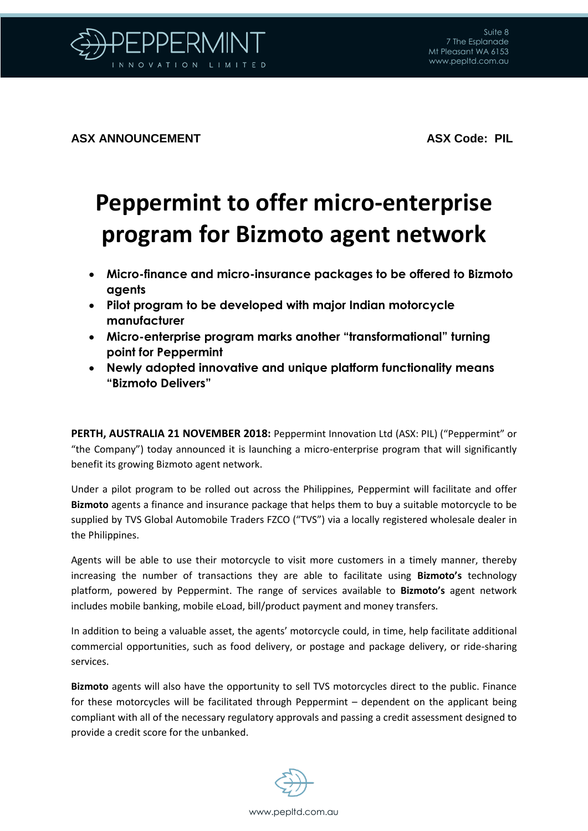

**ASX ANNOUNCEMENT ASX Code: PIL** 

## **Peppermint to offer micro-enterprise program for Bizmoto agent network**

- **Micro-finance and micro-insurance packages to be offered to Bizmoto agents**
- **Pilot program to be developed with major Indian motorcycle manufacturer**
- **Micro-enterprise program marks another "transformational" turning point for Peppermint**
- **Newly adopted innovative and unique platform functionality means "Bizmoto Delivers"**

**PERTH, AUSTRALIA 21 NOVEMBER 2018:** Peppermint Innovation Ltd (ASX: PIL) ("Peppermint" or "the Company") today announced it is launching a micro-enterprise program that will significantly benefit its growing Bizmoto agent network.

Under a pilot program to be rolled out across the Philippines, Peppermint will facilitate and offer **Bizmoto** agents a finance and insurance package that helps them to buy a suitable motorcycle to be supplied by TVS Global Automobile Traders FZCO ("TVS") via a locally registered wholesale dealer in the Philippines.

Agents will be able to use their motorcycle to visit more customers in a timely manner, thereby increasing the number of transactions they are able to facilitate using **Bizmoto's** technology platform, powered by Peppermint. The range of services available to **Bizmoto's** agent network includes mobile banking, mobile eLoad, bill/product payment and money transfers.

In addition to being a valuable asset, the agents' motorcycle could, in time, help facilitate additional commercial opportunities, such as food delivery, or postage and package delivery, or ride-sharing services.

**Bizmoto** agents will also have the opportunity to sell TVS motorcycles direct to the public. Finance for these motorcycles will be facilitated through Peppermint – dependent on the applicant being compliant with all of the necessary regulatory approvals and passing a credit assessment designed to provide a credit score for the unbanked.

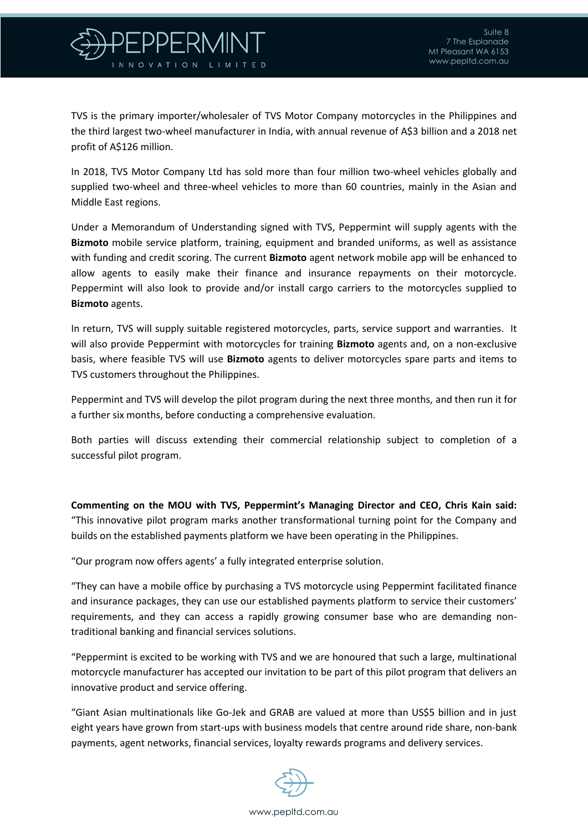

TVS is the primary importer/wholesaler of TVS Motor Company motorcycles in the Philippines and the third largest two-wheel manufacturer in India, with annual revenue of A\$3 billion and a 2018 net profit of A\$126 million.

In 2018, TVS Motor Company Ltd has sold more than four million two-wheel vehicles globally and supplied two-wheel and three-wheel vehicles to more than 60 countries, mainly in the Asian and Middle East regions.

Under a Memorandum of Understanding signed with TVS, Peppermint will supply agents with the **Bizmoto** mobile service platform, training, equipment and branded uniforms, as well as assistance with funding and credit scoring. The current **Bizmoto** agent network mobile app will be enhanced to allow agents to easily make their finance and insurance repayments on their motorcycle. Peppermint will also look to provide and/or install cargo carriers to the motorcycles supplied to **Bizmoto** agents.

In return, TVS will supply suitable registered motorcycles, parts, service support and warranties. It will also provide Peppermint with motorcycles for training **Bizmoto** agents and, on a non-exclusive basis, where feasible TVS will use **Bizmoto** agents to deliver motorcycles spare parts and items to TVS customers throughout the Philippines.

Peppermint and TVS will develop the pilot program during the next three months, and then run it for a further six months, before conducting a comprehensive evaluation.

Both parties will discuss extending their commercial relationship subject to completion of a successful pilot program.

**Commenting on the MOU with TVS, Peppermint's Managing Director and CEO, Chris Kain said:** "This innovative pilot program marks another transformational turning point for the Company and builds on the established payments platform we have been operating in the Philippines.

"Our program now offers agents' a fully integrated enterprise solution.

"They can have a mobile office by purchasing a TVS motorcycle using Peppermint facilitated finance and insurance packages, they can use our established payments platform to service their customers' requirements, and they can access a rapidly growing consumer base who are demanding nontraditional banking and financial services solutions.

"Peppermint is excited to be working with TVS and we are honoured that such a large, multinational motorcycle manufacturer has accepted our invitation to be part of this pilot program that delivers an innovative product and service offering.

"Giant Asian multinationals like Go-Jek and GRAB are valued at more than US\$5 billion and in just eight years have grown from start-ups with business models that centre around ride share, non-bank payments, agent networks, financial services, loyalty rewards programs and delivery services.

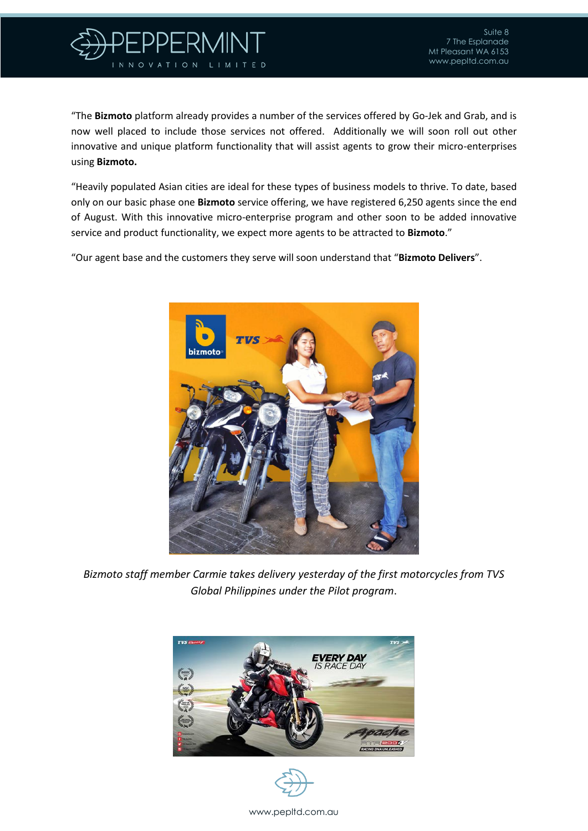

"The **Bizmoto** platform already provides a number of the services offered by Go-Jek and Grab, and is now well placed to include those services not offered. Additionally we will soon roll out other innovative and unique platform functionality that will assist agents to grow their micro-enterprises using **Bizmoto.**

"Heavily populated Asian cities are ideal for these types of business models to thrive. To date, based only on our basic phase one **Bizmoto** service offering, we have registered 6,250 agents since the end of August. With this innovative micro-enterprise program and other soon to be added innovative service and product functionality, we expect more agents to be attracted to **Bizmoto**."

"Our agent base and the customers they serve will soon understand that "**Bizmoto Delivers**".



*Bizmoto staff member Carmie takes delivery yesterday of the first motorcycles from TVS Global Philippines under the Pilot program*.





www.pepltd.com.au